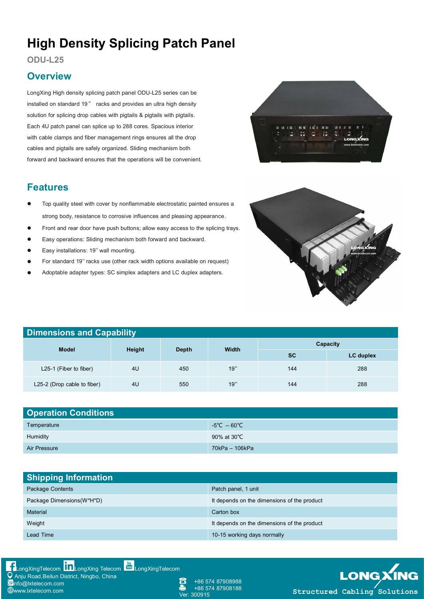# **High Density Splicing Patch Panel**

### **ODU-L25**

### **Overview**

LongXing High density splicing patch panel ODU-L25 series can be installed on standard 19" racks and provides an ultra high density solution for splicing drop cables with pigtails & pigtails with pigtails. Each 4U patch panel can splice up to 288 cores. Spacious interior with cable clamps and fiber management rings ensures all the drop cables and pigtails are safely organized. Sliding mechanism both forward and backward ensures that the operations will be convenient.

### **Features**

- Top quality steel with cover by nonflammable electrostatic painted ensures a strong body, resistance to corrosive influences and pleasing appearance.
- Front and rear door have push buttons; allow easy access to the splicing trays.
- Easy operations: Sliding mechanism both forward and backward.
- Easy installations: 19'' wall mounting.
- For standard 19'' racks use (other rack width options available on request)
- Adoptable adapter types: SC simplex adapters and LC duplex adapters.



| <b>Dimensions and Capability</b> |                |              |              |           |           |  |
|----------------------------------|----------------|--------------|--------------|-----------|-----------|--|
| <b>Model</b>                     | Height         | <b>Depth</b> | <b>Width</b> | Capacity  |           |  |
|                                  |                |              |              | <b>SC</b> | LC duplex |  |
| L25-1 (Fiber to fiber)           | 4U             | 450          | 19"          | 144       | 288       |  |
| L25-2 (Drop cable to fiber)      | 4 <sub>U</sub> | 550          | 19"          | 144       | 288       |  |

| <b>Operation Conditions</b> |                                |  |  |  |
|-----------------------------|--------------------------------|--|--|--|
| Temperature                 | $-5^{\circ}$ C $-60^{\circ}$ C |  |  |  |
| Humidity                    | 90% at 30°C                    |  |  |  |
| Air Pressure                | 70kPa - 106kPa                 |  |  |  |

| <b>Shipping Information</b> |                                             |  |  |  |
|-----------------------------|---------------------------------------------|--|--|--|
| Package Contents            | Patch panel, 1 unit                         |  |  |  |
| Package Dimensions(W*H*D)   | It depends on the dimensions of the product |  |  |  |
| Material                    | Carton box                                  |  |  |  |
| Weight                      | It depends on the dimensions of the product |  |  |  |
| Lead Time                   | 10-15 working days normally                 |  |  |  |



+86 574 87908988 +86 574 87908188<br>300915

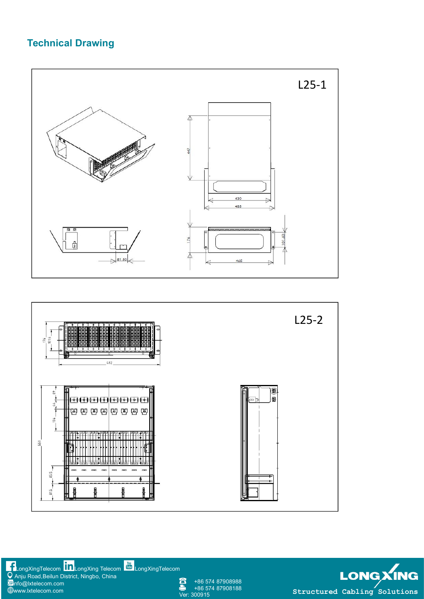### **Technical Drawing**





[LongXingTelecom](https://www.youtube.com/user/LongXingTelecom) LLL[LongXing](https://www.linkedin.com/company/longxing-telecom) Telecom L<sup>ung</sup>LongXingTelecom **Andrew Contract Contract Contract Contract** Contract Co Anju Road,Beilun District, Ningbo, China info@lxtelecom.com [www.lxtelecom.com](http://www.lxtelecom.com)

Δ +86 574 87908988 +86 574 87908188

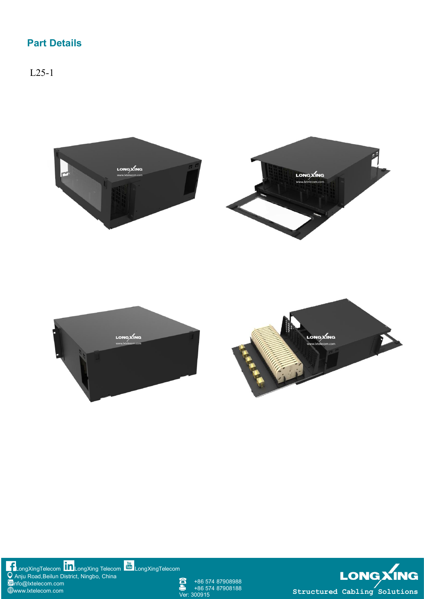## **Part Details**

L25-1





+86 574 87908988 +86 574 87908188